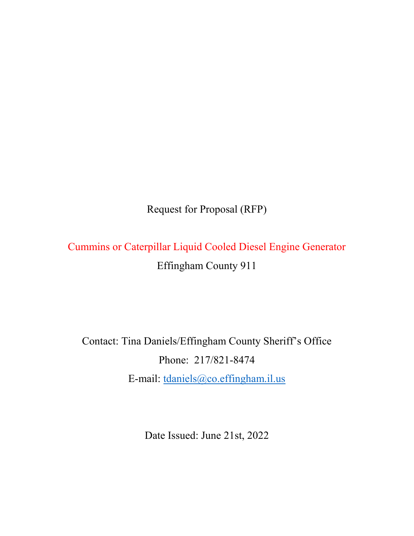Request for Proposal (RFP)

Cummins or Caterpillar Liquid Cooled Diesel Engine Generator Effingham County 911

Contact: Tina Daniels/Effingham County Sheriff's Office Phone: 217/821-8474 E-mail: [tdaniels@co.effingham.il.us](mailto:tdaniels@co.effingham.il.us)

Date Issued: June 21st, 2022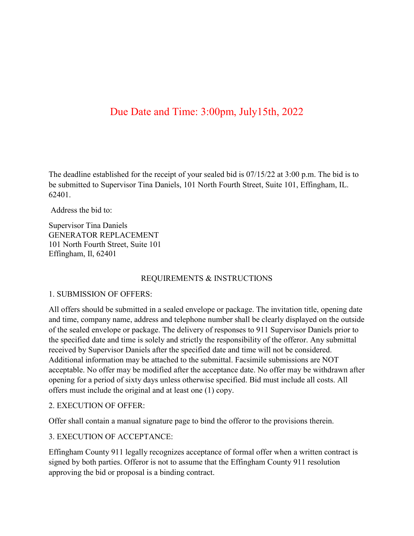# Due Date and Time: 3:00pm, July15th, 2022

The deadline established for the receipt of your sealed bid is 07/15/22 at 3:00 p.m. The bid is to be submitted to Supervisor Tina Daniels, 101 North Fourth Street, Suite 101, Effingham, IL. 62401.

Address the bid to:

Supervisor Tina Daniels GENERATOR REPLACEMENT 101 North Fourth Street, Suite 101 Effingham, Il, 62401

#### REQUIREMENTS & INSTRUCTIONS

#### 1. SUBMISSION OF OFFERS:

All offers should be submitted in a sealed envelope or package. The invitation title, opening date and time, company name, address and telephone number shall be clearly displayed on the outside of the sealed envelope or package. The delivery of responses to 911 Supervisor Daniels prior to the specified date and time is solely and strictly the responsibility of the offeror. Any submittal received by Supervisor Daniels after the specified date and time will not be considered. Additional information may be attached to the submittal. Facsimile submissions are NOT acceptable. No offer may be modified after the acceptance date. No offer may be withdrawn after opening for a period of sixty days unless otherwise specified. Bid must include all costs. All offers must include the original and at least one (1) copy.

#### 2. EXECUTION OF OFFER:

Offer shall contain a manual signature page to bind the offeror to the provisions therein.

#### 3. EXECUTION OF ACCEPTANCE:

Effingham County 911 legally recognizes acceptance of formal offer when a written contract is signed by both parties. Offeror is not to assume that the Effingham County 911 resolution approving the bid or proposal is a binding contract.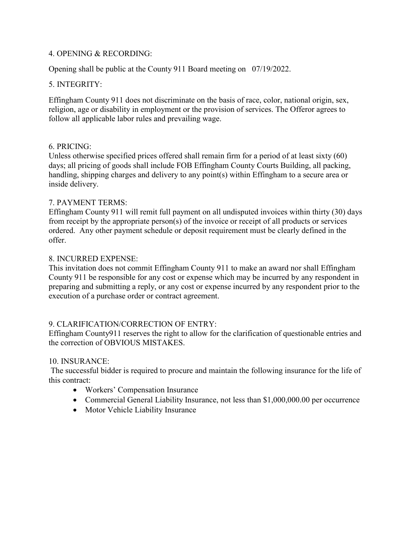## 4. OPENING & RECORDING:

Opening shall be public at the County 911 Board meeting on 07/19/2022.

# 5. INTEGRITY:

Effingham County 911 does not discriminate on the basis of race, color, national origin, sex, religion, age or disability in employment or the provision of services. The Offeror agrees to follow all applicable labor rules and prevailing wage.

## 6. PRICING:

Unless otherwise specified prices offered shall remain firm for a period of at least sixty (60) days; all pricing of goods shall include FOB Effingham County Courts Building, all packing, handling, shipping charges and delivery to any point(s) within Effingham to a secure area or inside delivery.

## 7. PAYMENT TERMS:

Effingham County 911 will remit full payment on all undisputed invoices within thirty (30) days from receipt by the appropriate person(s) of the invoice or receipt of all products or services ordered. Any other payment schedule or deposit requirement must be clearly defined in the offer.

## 8. INCURRED EXPENSE:

This invitation does not commit Effingham County 911 to make an award nor shall Effingham County 911 be responsible for any cost or expense which may be incurred by any respondent in preparing and submitting a reply, or any cost or expense incurred by any respondent prior to the execution of a purchase order or contract agreement.

# 9. CLARIFICATION/CORRECTION OF ENTRY:

Effingham County911 reserves the right to allow for the clarification of questionable entries and the correction of OBVIOUS MISTAKES.

#### 10. INSURANCE:

The successful bidder is required to procure and maintain the following insurance for the life of this contract:

- Workers' Compensation Insurance
- Commercial General Liability Insurance, not less than \$1,000,000.00 per occurrence
- Motor Vehicle Liability Insurance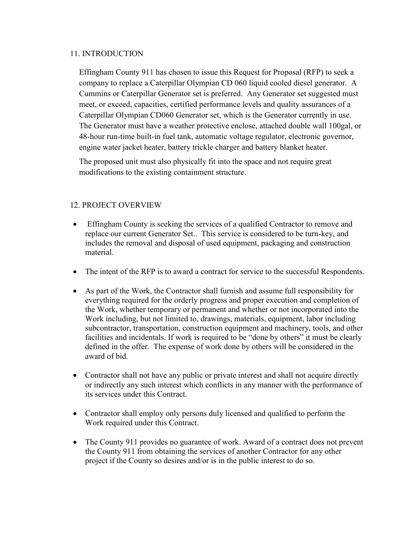#### 11. INTRODUCTION

Effingham County 911 has chosen to issue this Request for Proposal (RFP) to seek a company to replace a Caterpillar Olympian CD 060 liquid cooled diesel generator. A Cummins or Caterpillar Generator set is preferred. Any Generator set suggested must meet, or exceed, capacities, certified performance levels and quality assurances of a Caterpillar Olympian CD060 Generator set, which is the Generator currently in use. The Generator must have a weather protective enclose, attached double wall 100gal, or 48-hour run-time built-in fuel tank, automatic voltage regulator, electronic governor, engine water jacket heater, battery trickle charger and battery blanket heater.

The proposed unit must also physically fit into the space and not require great modifications to the existing containment structure.

## 12. PROJECT OVERVIEW

- Effingham County is seeking the services of a qualified Contractor to remove and replace our current Generator Set.. This service is considered to be turn-key, and includes the removal and disposal of used equipment, packaging and construction material.
- The intent of the RFP is to award a contract for service to the successful Respondents.
- As part of the Work, the Contractor shall furnish and assume full responsibility for everything required for the orderly progress and proper execution and completion of the Work, whether temporary or permanent and whether or not incorporated into the Work including, but not limited to, drawings, materials, equipment, labor including subcontractor, transportation, construction equipment and machinery, tools, and other facilities and incidentals. If work is required to be "done by others" it must be clearly defined in the offer. The expense of work done by others will be considered in the award of bid.
- Contractor shall not have any public or private interest and shall not acquire directly or indirectly any such interest which conflicts in any manner with the performance of its services under this Contract.
- Contractor shall employ only persons duly licensed and qualified to perform the Work required under this Contract.
- The County 911 provides no guarantee of work. Award of a contract does not prevent the County 911 from obtaining the services of another Contractor for any other project if the County so desires and/or is in the public interest to do so.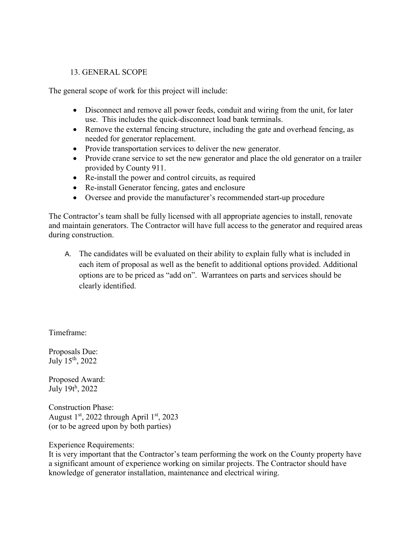## 13. GENERAL SCOPE

The general scope of work for this project will include:

- Disconnect and remove all power feeds, conduit and wiring from the unit, for later use. This includes the quick-disconnect load bank terminals.
- Remove the external fencing structure, including the gate and overhead fencing, as needed for generator replacement.
- Provide transportation services to deliver the new generator.
- Provide crane service to set the new generator and place the old generator on a trailer provided by County 911.
- Re-install the power and control circuits, as required
- Re-install Generator fencing, gates and enclosure
- Oversee and provide the manufacturer's recommended start-up procedure

The Contractor's team shall be fully licensed with all appropriate agencies to install, renovate and maintain generators. The Contractor will have full access to the generator and required areas during construction.

A. The candidates will be evaluated on their ability to explain fully what is included in each item of proposal as well as the benefit to additional options provided. Additional options are to be priced as "add on". Warrantees on parts and services should be clearly identified.

Timeframe:

Proposals Due: July 15th, 2022

Proposed Award: July 19t<sup>h</sup> , 2022

Construction Phase: August 1<sup>st</sup>, 2022 through April 1<sup>st</sup>, 2023 (or to be agreed upon by both parties)

Experience Requirements:

It is very important that the Contractor's team performing the work on the County property have a significant amount of experience working on similar projects. The Contractor should have knowledge of generator installation, maintenance and electrical wiring.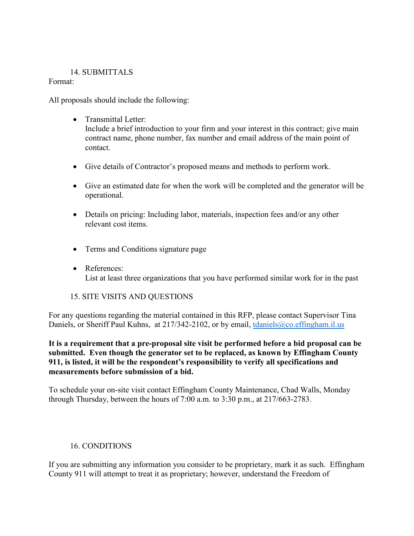## 14. SUBMITTALS

## Format:

All proposals should include the following:

- Transmittal Letter: Include a brief introduction to your firm and your interest in this contract; give main contract name, phone number, fax number and email address of the main point of contact.
- Give details of Contractor's proposed means and methods to perform work.
- Give an estimated date for when the work will be completed and the generator will be operational.
- Details on pricing: Including labor, materials, inspection fees and/or any other relevant cost items.
- Terms and Conditions signature page
- References: List at least three organizations that you have performed similar work for in the past

# 15. SITE VISITS AND QUESTIONS

For any questions regarding the material contained in this RFP, please contact Supervisor Tina Daniels, or Sheriff Paul Kuhns, at 217/342-2102, or by email, [tdaniels@co.effingham.il.us](mailto:tdaniels@co.effingham.il.us)

**It is a requirement that a pre-proposal site visit be performed before a bid proposal can be submitted. Even though the generator set to be replaced, as known by Effingham County 911, is listed, it will be the respondent's responsibility to verify all specifications and measurements before submission of a bid.** 

To schedule your on-site visit contact Effingham County Maintenance, Chad Walls, Monday through Thursday, between the hours of 7:00 a.m. to 3:30 p.m., at 217/663-2783.

# 16. CONDITIONS

If you are submitting any information you consider to be proprietary, mark it as such. Effingham County 911 will attempt to treat it as proprietary; however, understand the Freedom of